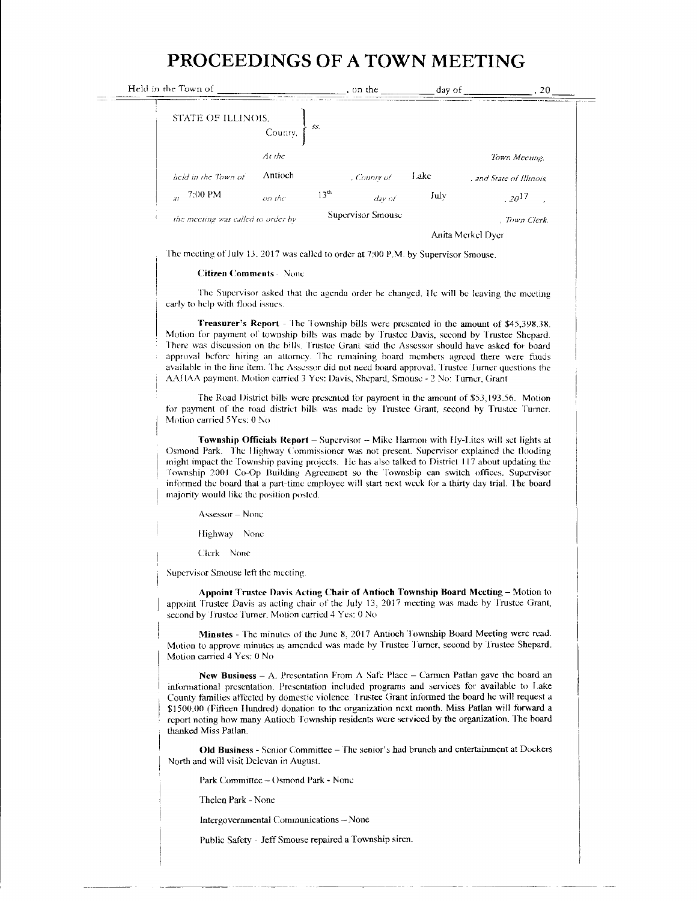## PROCEEDINGS OF A TOWN MEETING

| Held in the Town of                |                            | , on the                 | day of | 20                       |
|------------------------------------|----------------------------|--------------------------|--------|--------------------------|
| STATE OF ILLINOIS,                 | 55.<br>County,             |                          |        |                          |
|                                    | At the                     |                          |        | Town Meeting             |
| held in the Town of                | Antioch                    | , County of              | Lake   | , and State of Illinois. |
| 7:00 PM<br>$\overline{M}$          | 13 <sup>th</sup><br>on the | $day$ of                 | July   | $120^{17}$               |
| the meeting was called to order by |                            | <b>Supervisor Smouse</b> |        | . Town Clerk.            |
|                                    |                            |                          |        | Anita Merkel Dver        |

The meeting of July 13, 2017 was called to order at 7:00 P.M. by Supervisor Smouse.

## **Citizen Comments** - None

The Supervisor asked that the agenda order be changed. He will be leaving the meeting early to help with flood issues.

**Treasurer's Report** - The Township bills were presented in the amount of \$45,398.38. Motion for payment of township bills was made by Trustee Davis, second by Trustee Shepard. There was discussion on the bills. Trustee Grant said the Assessor should have asked for board approval before hiring an attorney. The remaining board members agreed there were funds available in the line item. The Assessor did not need board approval. Trustee Turner questions the AAHAA payment. Motion carried 3 Yes: Davis, Shepard, Smouse - 2 No: Turner, Grant

The Road District bills were presented for payment in the amount of \$53,193.56. Motion for payment of the road district bills was made by Trustee Grant, second by Trustee Turner. Motion carried 5Yes: 0 No

Township Officials Report - Supervisor - Mike Harmon with Hy-Lites will set lights at Osmond Park. The Highway Commissioner was not present. Supervisor explained the flooding might impact the Township paving projects. He has also talked to District 117 about updating the Township 2001 Co-Op Building Agreement so the Township can switch offices. Supervisor informed the board that a part-time employee will start next week for a thirty day trial. The board majority would like the position posted.

Assessor - None

Highway None

Clerk None

Supervisor Smouse left the meeting.

Appoint Trustee Davis Acting Chair of Antioch Township Board Meeting - Motion to appoint Trustee Davis as acting chair of the July 13, 2017 meeting was made by Trustee Grant, second by Trustee Turner. Motion carried 4 Yes: 0 No

Minutes - The minutes of the June 8, 2017 Antioch Township Board Meeting were read. Motion to approve minutes as amended was made by Trustee Turner, second by Trustee Shepard. Motion carried 4 Yes: 0 No

New Business - A. Presentation From  $\Lambda$  Safe Place - Carmen Patlan gave the board an informational presentation. Presentation included programs and services for available to Lake County families affected by domestic violence. Trustee Grant informed the board he will request a \$1500.00 (Fifteen Hundred) donation to the organization next month. Miss Patlan will forward a report noting how many Antioch Township residents were serviced by the organization. The board thanked Miss Patlan.

Old Business - Senior Committee - The senior's had brunch and entertainment at Dockers North and will visit Delevan in August.

Park Committee - Osmond Park - None

Thelen Park - None

Intergovernmental Communications - None

Public Safety - Jeff Smouse repaired a Township siren.